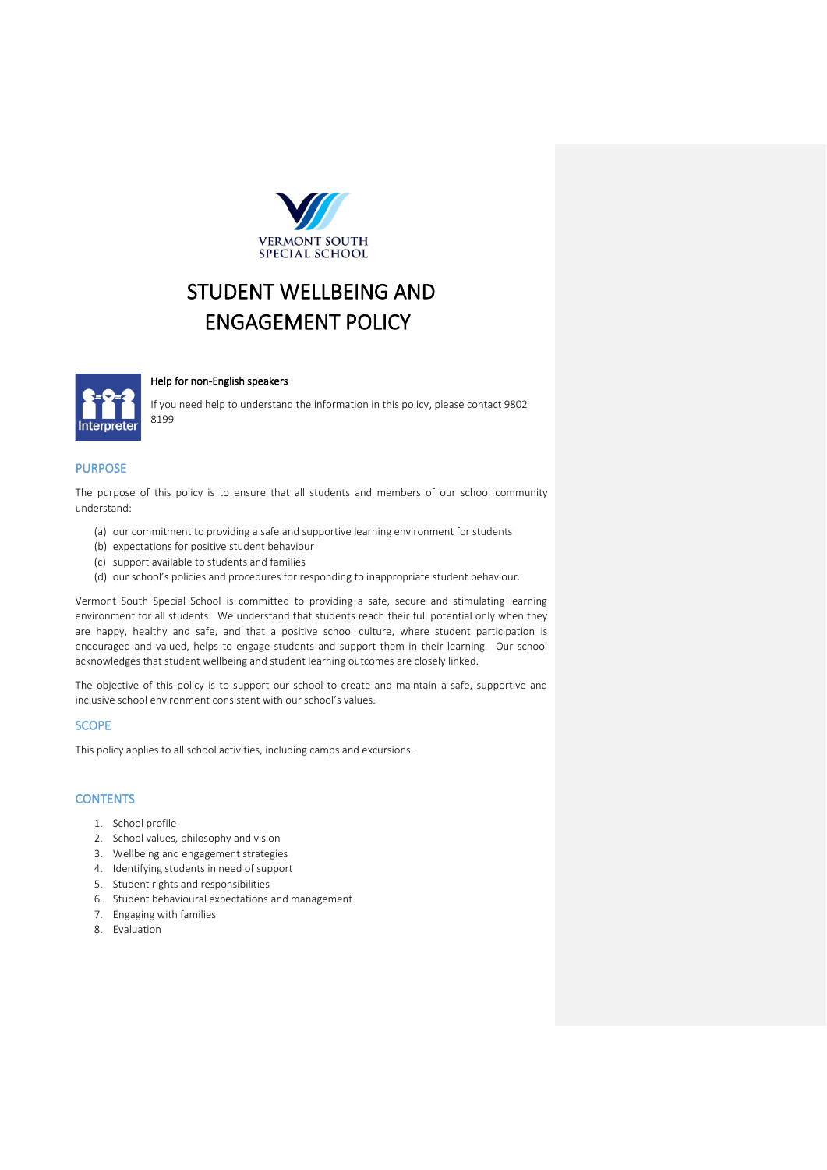

# STUDENT WELLBEING AND ENGAGEMENT POLICY



## Help for non-English speakers

If you need help to understand the information in this policy, please contact 9802 8199

# PURPOSE

The purpose of this policy is to ensure that all students and members of our school community understand:

- (a) our commitment to providing a safe and supportive learning environment for students
- (b) expectations for positive student behaviour
- (c) support available to students and families
- (d) our school's policies and procedures for responding to inappropriate student behaviour.

Vermont South Special School is committed to providing a safe, secure and stimulating learning environment for all students. We understand that students reach their full potential only when they are happy, healthy and safe, and that a positive school culture, where student participation is encouraged and valued, helps to engage students and support them in their learning. Our school acknowledges that student wellbeing and student learning outcomes are closely linked.

The objective of this policy is to support our school to create and maintain a safe, supportive and inclusive school environment consistent with our school's values.

#### **SCOPE**

This policy applies to all school activities, including camps and excursions.

#### **CONTENTS**

- 1. School profile
- 2. School values, philosophy and vision
- 3. Wellbeing and engagement strategies
- 4. Identifying students in need of support
- 5. Student rights and responsibilities
- 6. Student behavioural expectations and management
- 7. Engaging with families
- 8. Evaluation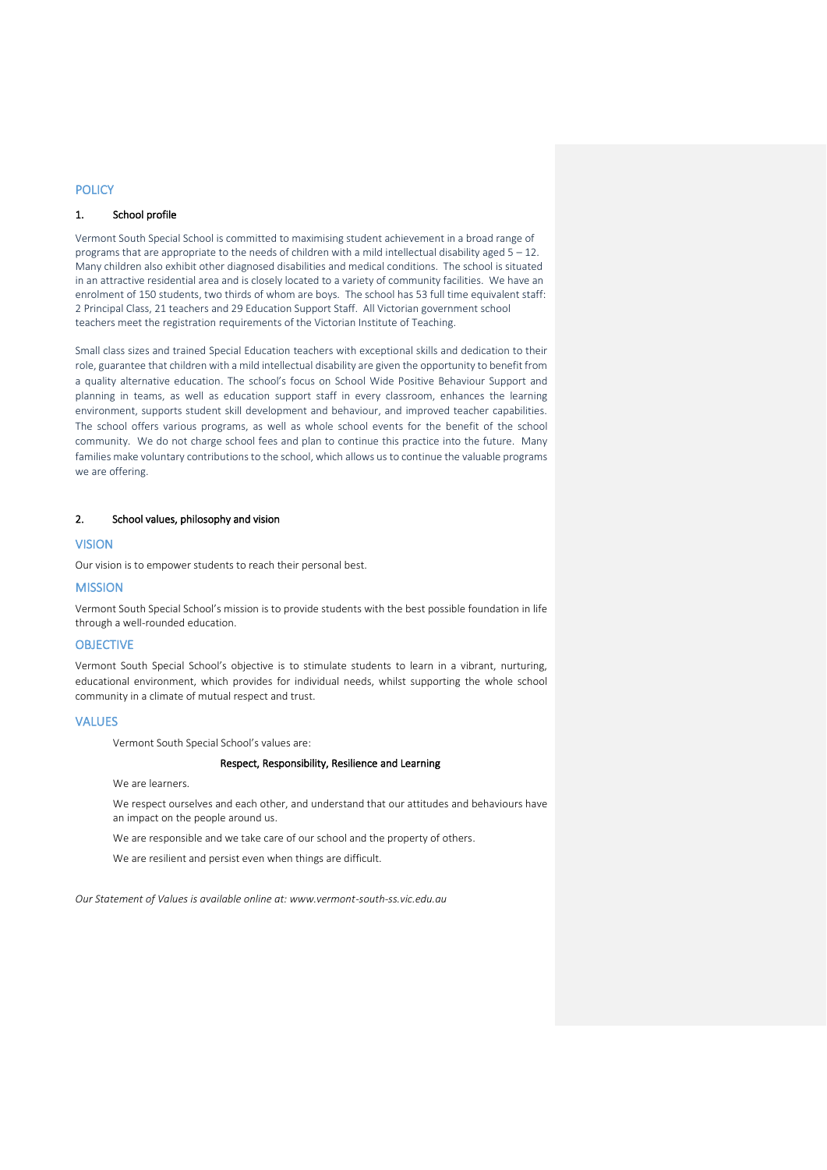# **POLICY**

# 1. School profile

Vermont South Special School is committed to maximising student achievement in a broad range of programs that are appropriate to the needs of children with a mild intellectual disability aged  $5 - 12$ . Many children also exhibit other diagnosed disabilities and medical conditions. The school is situated in an attractive residential area and is closely located to a variety of community facilities. We have an enrolment of 150 students, two thirds of whom are boys. The school has 53 full time equivalent staff: 2 Principal Class, 21 teachers and 29 Education Support Staff. All Victorian government school teachers meet the registration requirements of the Victorian Institute of Teaching.

Small class sizes and trained Special Education teachers with exceptional skills and dedication to their role, guarantee that children with a mild intellectual disability are given the opportunity to benefit from a quality alternative education. The school's focus on School Wide Positive Behaviour Support and planning in teams, as well as education support staff in every classroom, enhances the learning environment, supports student skill development and behaviour, and improved teacher capabilities. The school offers various programs, as well as whole school events for the benefit of the school community. We do not charge school fees and plan to continue this practice into the future. Many families make voluntary contributions to the school, which allows us to continue the valuable programs we are offering.

#### 2. School values, philosophy and vision

## **VISION**

Our vision is to empower students to reach their personal best.

#### **MISSION**

Vermont South Special School's mission is to provide students with the best possible foundation in life through a well-rounded education.

## OBJECTIVE

Vermont South Special School's objective is to stimulate students to learn in a vibrant, nurturing, educational environment, which provides for individual needs, whilst supporting the whole school community in a climate of mutual respect and trust.

#### VALUES

Vermont South Special School's values are:

#### Respect, Responsibility, Resilience and Learning

We are learners.

We respect ourselves and each other, and understand that our attitudes and behaviours have an impact on the people around us.

We are responsible and we take care of our school and the property of others.

We are resilient and persist even when things are difficult.

*Our Statement of Values is available online at: www.vermont-south-ss.vic.edu.au*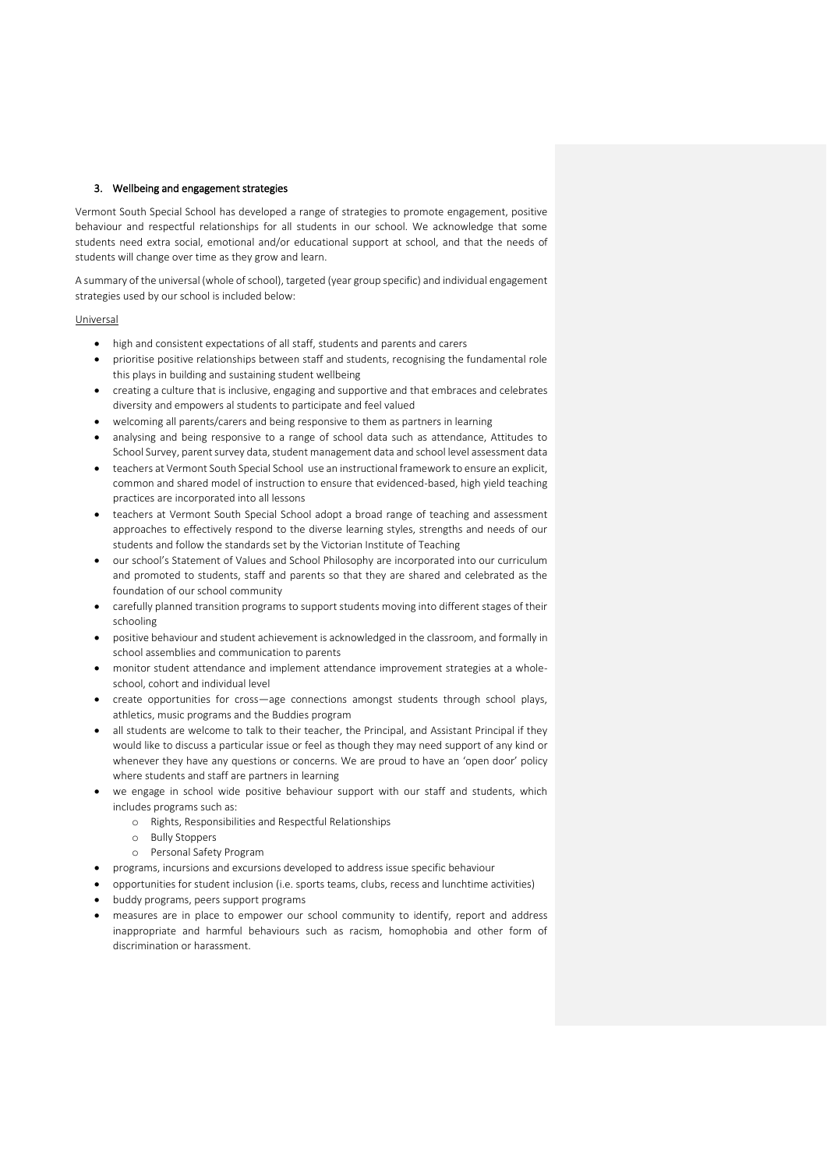#### 3. Wellbeing and engagement strategies

Vermont South Special School has developed a range of strategies to promote engagement, positive behaviour and respectful relationships for all students in our school. We acknowledge that some students need extra social, emotional and/or educational support at school, and that the needs of students will change over time as they grow and learn.

A summary of the universal (whole of school), targeted (year group specific) and individual engagement strategies used by our school is included below:

#### **Universal**

- high and consistent expectations of all staff, students and parents and carers
- prioritise positive relationships between staff and students, recognising the fundamental role this plays in building and sustaining student wellbeing
- creating a culture that is inclusive, engaging and supportive and that embraces and celebrates diversity and empowers al students to participate and feel valued
- welcoming all parents/carers and being responsive to them as partners in learning
- analysing and being responsive to a range of school data such as attendance, Attitudes to School Survey, parent survey data, student management data and school level assessment data
- teachers at Vermont South Special School use an instructional framework to ensure an explicit, common and shared model of instruction to ensure that evidenced-based, high yield teaching practices are incorporated into all lessons
- teachers at Vermont South Special School adopt a broad range of teaching and assessment approaches to effectively respond to the diverse learning styles, strengths and needs of our students and follow the standards set by the Victorian Institute of Teaching
- our school's Statement of Values and School Philosophy are incorporated into our curriculum and promoted to students, staff and parents so that they are shared and celebrated as the foundation of our school community
- carefully planned transition programs to support students moving into different stages of their schooling
- positive behaviour and student achievement is acknowledged in the classroom, and formally in school assemblies and communication to parents
- monitor student attendance and implement attendance improvement strategies at a wholeschool, cohort and individual level
- create opportunities for cross—age connections amongst students through school plays, athletics, music programs and the Buddies program
- all students are welcome to talk to their teacher, the Principal, and Assistant Principal if they would like to discuss a particular issue or feel as though they may need support of any kind or whenever they have any questions or concerns. We are proud to have an 'open door' policy where students and staff are partners in learning
- we engage in school wide positive behaviour support with our staff and students, which includes programs such as:
	- o Rights, Responsibilities and Respectful Relationships
	- o Bully Stoppers
	- o Personal Safety Program
- programs, incursions and excursions developed to address issue specific behaviour
- opportunities for student inclusion (i.e. sports teams, clubs, recess and lunchtime activities)
- buddy programs, peers support programs
- measures are in place to empower our school community to identify, report and address inappropriate and harmful behaviours such as racism, homophobia and other form of discrimination or harassment.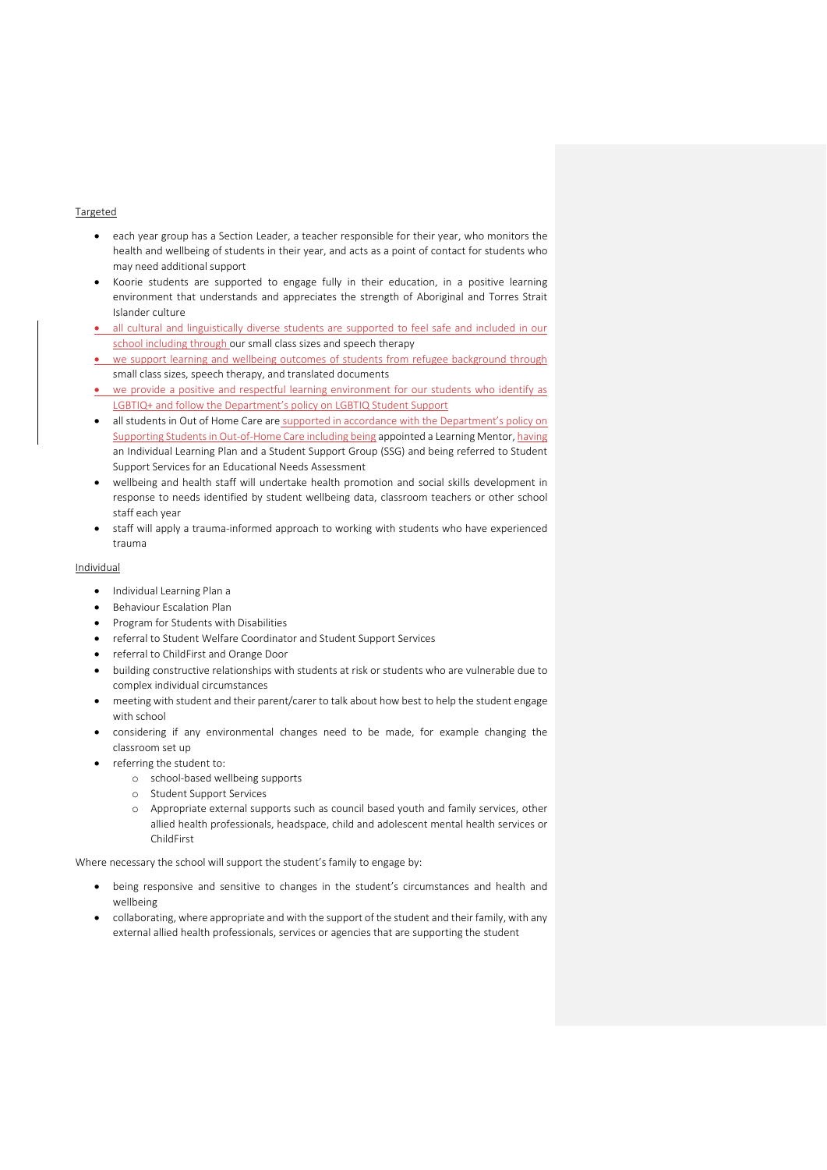#### Targeted

- each year group has a Section Leader, a teacher responsible for their year, who monitors the health and wellbeing of students in their year, and acts as a point of contact for students who may need additional support
- Koorie students are supported to engage fully in their education, in a positive learning environment that understands and appreciates the strength of Aboriginal and Torres Strait Islander culture
- all cultural and linguistically diverse students are supported to feel safe and included in our school including through our small class sizes and speech therapy
- we support learning and wellbeing outcomes of students from refugee background through small class sizes, speech therapy, and translated documents
- we provide a positive and respectful learning environment for our students who identify as LGBTIQ+ and follow the Department's policy on [LGBTIQ Student Support](https://www2.education.vic.gov.au/pal/lgbtiq-student-support/policy)
- all students in Out of Home Care are supported in accordance with the Department's policy on [Supporting Students in Out-of-Home Care](https://www2.education.vic.gov.au/pal/supporting-students-out-home-care/policy) including being appointed a Learning Mentor, having an Individual Learning Plan and a Student Support Group (SSG) and being referred to Student Support Services for an Educational Needs Assessment
- wellbeing and health staff will undertake health promotion and social skills development in response to needs identified by student wellbeing data, classroom teachers or other school staff each year
- staff will apply a trauma-informed approach to working with students who have experienced trauma

## Individual

- Individual Learning Plan a
- Behaviour Escalation Plan
- Program for Students with Disabilities
- referral to Student Welfare Coordinator and Student Support Services
- referral to ChildFirst and Orange Door
- building constructive relationships with students at risk or students who are vulnerable due to complex individual circumstances
- meeting with student and their parent/carer to talk about how best to help the student engage with school
- considering if any environmental changes need to be made, for example changing the classroom set up
- referring the student to:
	- o school-based wellbeing supports
	- o Student Support Services
	- o Appropriate external supports such as council based youth and family services, other allied health professionals, headspace, child and adolescent mental health services or ChildFirst

Where necessary the school will support the student's family to engage by:

- being responsive and sensitive to changes in the student's circumstances and health and wellbeing
- collaborating, where appropriate and with the support of the student and their family, with any external allied health professionals, services or agencies that are supporting the student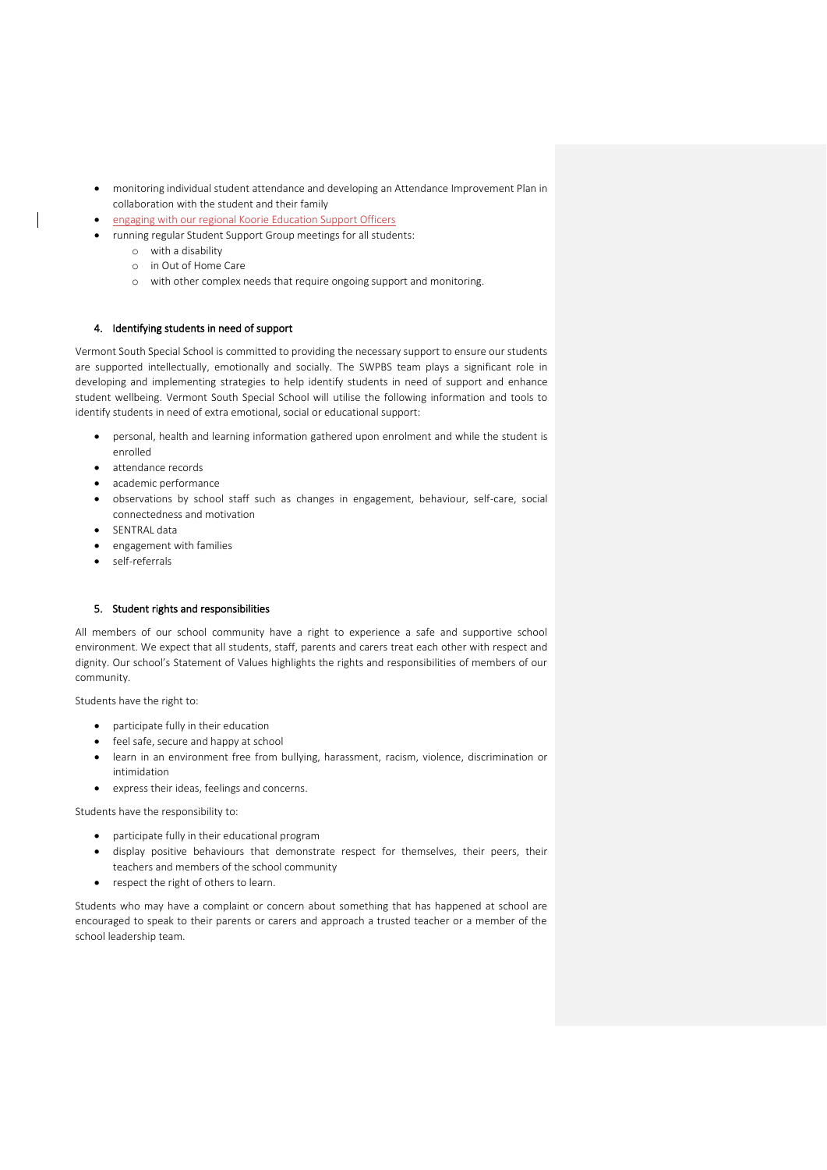- monitoring individual student attendance and developing an Attendance Improvement Plan in collaboration with the student and their family
- engaging with our regional Koorie Education Support Officers
	- running regular Student Support Group meetings for all students:
		- o with a disability
		- o in Out of Home Care
		- o with other complex needs that require ongoing support and monitoring.

# 4. Identifying students in need of support

Vermont South Special School is committed to providing the necessary support to ensure our students are supported intellectually, emotionally and socially. The SWPBS team plays a significant role in developing and implementing strategies to help identify students in need of support and enhance student wellbeing. Vermont South Special School will utilise the following information and tools to identify students in need of extra emotional, social or educational support:

- personal, health and learning information gathered upon enrolment and while the student is enrolled
- attendance records
- academic performance
- observations by school staff such as changes in engagement, behaviour, self-care, social connectedness and motivation
- SENTRAL data
- engagement with families
- self-referrals

#### 5. Student rights and responsibilities

All members of our school community have a right to experience a safe and supportive school environment. We expect that all students, staff, parents and carers treat each other with respect and dignity. Our school's Statement of Values highlights the rights and responsibilities of members of our community.

Students have the right to:

- participate fully in their education
- feel safe, secure and happy at school
- learn in an environment free from bullying, harassment, racism, violence, discrimination or intimidation
- express their ideas, feelings and concerns.

Students have the responsibility to:

- participate fully in their educational program
- display positive behaviours that demonstrate respect for themselves, their peers, their teachers and members of the school community
- respect the right of others to learn.

Students who may have a complaint or concern about something that has happened at school are encouraged to speak to their parents or carers and approach a trusted teacher or a member of the school leadership team.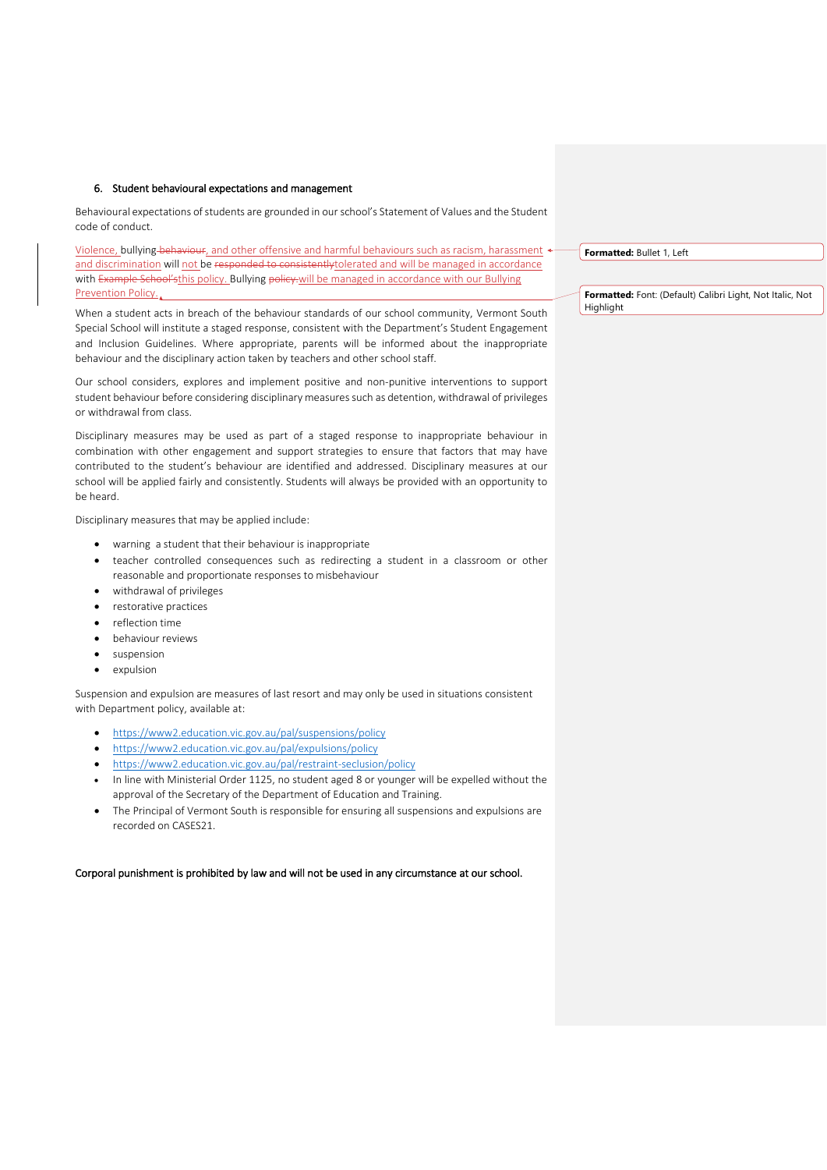#### 6. Student behavioural expectations and management

Behavioural expectations of students are grounded in our school's Statement of Values and the Student code of conduct.

Violence, bullying behaviour, and other offensive and harmful behaviours such as racism, harassment  $\triangleleft$ and discrimination will not be responded to consistentlytolerated and will be managed in accordance with Example School'sthis policy. Bullying policy.will be managed in accordance with our Bullying Prevention Policy.

When a student acts in breach of the behaviour standards of our school community, Vermont South Special School will institute a staged response, consistent with the Department's Student Engagement and Inclusion Guidelines. Where appropriate, parents will be informed about the inappropriate behaviour and the disciplinary action taken by teachers and other school staff.

Our school considers, explores and implement positive and non-punitive interventions to support student behaviour before considering disciplinary measures such as detention, withdrawal of privileges or withdrawal from class.

Disciplinary measures may be used as part of a staged response to inappropriate behaviour in combination with other engagement and support strategies to ensure that factors that may have contributed to the student's behaviour are identified and addressed. Disciplinary measures at our school will be applied fairly and consistently. Students will always be provided with an opportunity to be heard.

Disciplinary measures that may be applied include:

- warning a student that their behaviour is inappropriate
- teacher controlled consequences such as redirecting a student in a classroom or other reasonable and proportionate responses to misbehaviour
- withdrawal of privileges
- restorative practices
- reflection time
- behaviour reviews
- suspension
- expulsion

Suspension and expulsion are measures of last resort and may only be used in situations consistent with Department policy, available at:

- <https://www2.education.vic.gov.au/pal/suspensions/policy>
- <https://www2.education.vic.gov.au/pal/expulsions/policy>
- <https://www2.education.vic.gov.au/pal/restraint-seclusion/policy>
- In line with Ministerial Order 1125, no student aged 8 or younger will be expelled without the approval of the Secretary of the Department of Education and Training.
- The Principal of Vermont South is responsible for ensuring all suspensions and expulsions are recorded on CASES21.

#### Corporal punishment is prohibited by law and will not be used in any circumstance at our school.

**Formatted:** Bullet 1, Left

**Formatted:** Font: (Default) Calibri Light, Not Italic, Not **Highlight**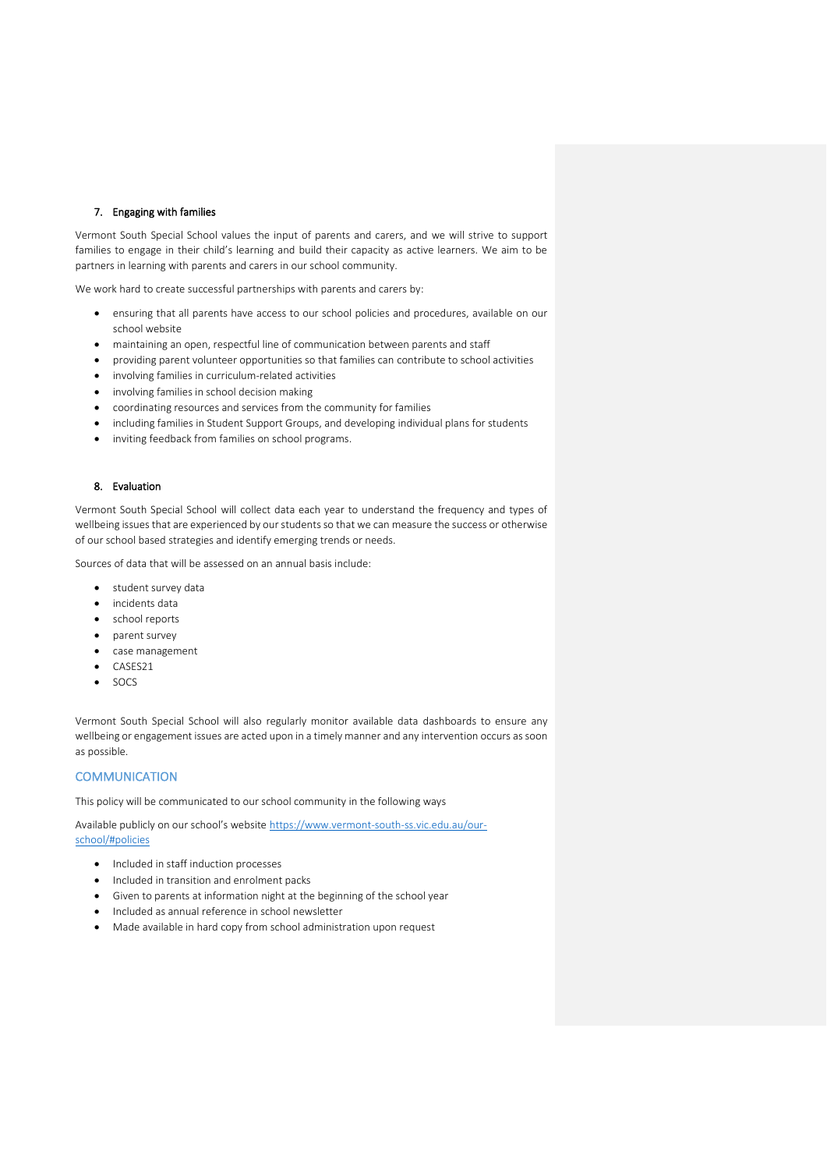## 7. Engaging with families

Vermont South Special School values the input of parents and carers, and we will strive to support families to engage in their child's learning and build their capacity as active learners. We aim to be partners in learning with parents and carers in our school community.

We work hard to create successful partnerships with parents and carers by:

- ensuring that all parents have access to our school policies and procedures, available on our school website
- maintaining an open, respectful line of communication between parents and staff
- providing parent volunteer opportunities so that families can contribute to school activities
- involving families in curriculum-related activities
- involving families in school decision making
- coordinating resources and services from the community for families
- including families in Student Support Groups, and developing individual plans for students
- inviting feedback from families on school programs.

#### 8. Evaluation

Vermont South Special School will collect data each year to understand the frequency and types of wellbeing issues that are experienced by our students so that we can measure the success or otherwise of our school based strategies and identify emerging trends or needs.

Sources of data that will be assessed on an annual basis include:

- student survey data
- incidents data
- school reports
- parent survey
- case management
- CASES21
- SOCS

Vermont South Special School will also regularly monitor available data dashboards to ensure any wellbeing or engagement issues are acted upon in a timely manner and any intervention occurs as soon as possible.

#### **COMMUNICATION**

This policy will be communicated to our school community in the following ways

Available publicly on our school's website [https://www.vermont-south-ss.vic.edu.au/our-](https://aus01.safelinks.protection.outlook.com/?url=https%3A%2F%2Fwww.vermont-south-ss.vic.edu.au%2Four-school%2F%23policies&data=05%7C01%7CClare.Merison%40education.vic.gov.au%7C6ba670ff511f4f532adb08da3c59d660%7Cd96cb3371a8744cfb69b3cec334a4c1f%7C0%7C0%7C637888653783038577%7CUnknown%7CTWFpbGZsb3d8eyJWIjoiMC4wLjAwMDAiLCJQIjoiV2luMzIiLCJBTiI6Ik1haWwiLCJXVCI6Mn0%3D%7C3000%7C%7C%7C&sdata=BaAWZu4g1EDS3fOONNzckC9xj1gZliD8ihThQNRpZ2A%3D&reserved=0)

[school/#policies](https://aus01.safelinks.protection.outlook.com/?url=https%3A%2F%2Fwww.vermont-south-ss.vic.edu.au%2Four-school%2F%23policies&data=05%7C01%7CClare.Merison%40education.vic.gov.au%7C6ba670ff511f4f532adb08da3c59d660%7Cd96cb3371a8744cfb69b3cec334a4c1f%7C0%7C0%7C637888653783038577%7CUnknown%7CTWFpbGZsb3d8eyJWIjoiMC4wLjAwMDAiLCJQIjoiV2luMzIiLCJBTiI6Ik1haWwiLCJXVCI6Mn0%3D%7C3000%7C%7C%7C&sdata=BaAWZu4g1EDS3fOONNzckC9xj1gZliD8ihThQNRpZ2A%3D&reserved=0)

- Included in staff induction processes
- Included in transition and enrolment packs
- Given to parents at information night at the beginning of the school year
- Included as annual reference in school newsletter
- Made available in hard copy from school administration upon request